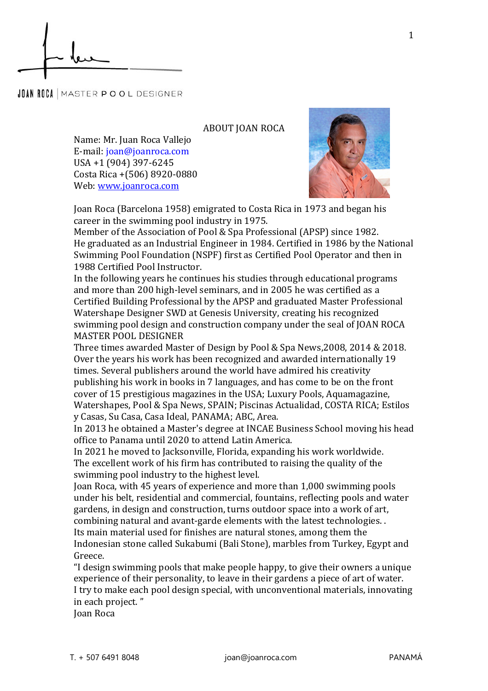**JOAN ROCA** MASTER POOL DESIGNER

ABOUT JOAN ROCA

Name: Mr. Juan Roca Vallejo E-mail: joan@joanroca.com USA +1 (904) 397-6245 Costa Rica +(506) 8920-0880 Web: [www.joanroca.com](http://www.joanroca.com/)



Joan Roca (Barcelona 1958) emigrated to Costa Rica in 1973 and began his career in the swimming pool industry in 1975.

Member of the Association of Pool & Spa Professional (APSP) since 1982. He graduated as an Industrial Engineer in 1984. Certified in 1986 by the National Swimming Pool Foundation (NSPF) first as Certified Pool Operator and then in 1988 Certified Pool Instructor.

In the following years he continues his studies through educational programs and more than 200 high-level seminars, and in 2005 he was certified as a Certified Building Professional by the APSP and graduated Master Professional Watershape Designer SWD at Genesis University, creating his recognized swimming pool design and construction company under the seal of JOAN ROCA MASTER POOL DESIGNER

Three times awarded Master of Design by Pool & Spa News,2008, 2014 & 2018. Over the years his work has been recognized and awarded internationally 19 times. Several publishers around the world have admired his creativity publishing his work in books in 7 languages, and has come to be on the front cover of 15 prestigious magazines in the USA; Luxury Pools, Aquamagazine, Watershapes, Pool & Spa News, SPAIN; Piscinas Actualidad, COSTA RICA; Estilos y Casas, Su Casa, Casa Ideal, PANAMA; ABC, Area.

In 2013 he obtained a Master's degree at INCAE Business School moving his head office to Panama until 2020 to attend Latin America.

In 2021 he moved to Jacksonville, Florida, expanding his work worldwide. The excellent work of his firm has contributed to raising the quality of the swimming pool industry to the highest level.

Joan Roca, with 45 years of experience and more than 1,000 swimming pools under his belt, residential and commercial, fountains, reflecting pools and water gardens, in design and construction, turns outdoor space into a work of art, combining natural and avant-garde elements with the latest technologies. . Its main material used for finishes are natural stones, among them the Indonesian stone called Sukabumi (Bali Stone), marbles from Turkey, Egypt and Greece.

"I design swimming pools that make people happy, to give their owners a unique experience of their personality, to leave in their gardens a piece of art of water. I try to make each pool design special, with unconventional materials, innovating in each project. "

Joan Roca

1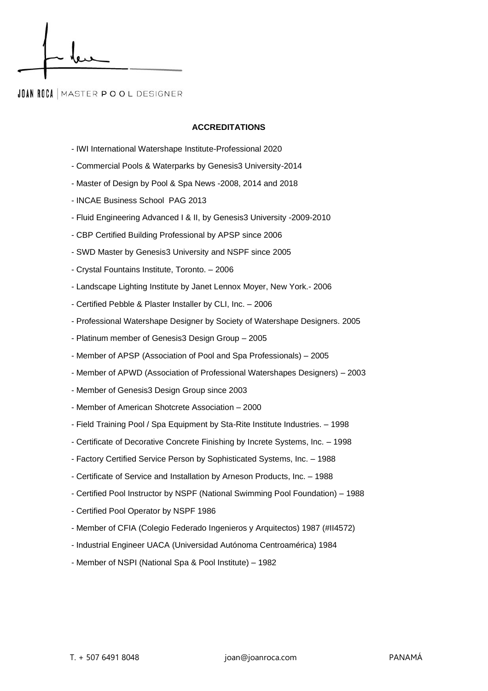## **JOAN ROCA | MASTER POOL DESIGNER**

## **ACCREDITATIONS**

- IWI International Watershape Institute-Professional 2020
- Commercial Pools & Waterparks by Genesis3 University-2014
- Master of Design by Pool & Spa News -2008, 2014 and 2018
- INCAE Business School PAG 2013
- Fluid Engineering Advanced I & II, by Genesis3 University -2009-2010
- CBP Certified Building Professional by APSP since 2006
- SWD Master by Genesis3 University and NSPF since 2005
- Crystal Fountains Institute, Toronto. 2006
- Landscape Lighting Institute by Janet Lennox Moyer, New York.- 2006
- Certified Pebble & Plaster Installer by CLI, Inc. 2006
- Professional Watershape Designer by Society of Watershape Designers. 2005
- Platinum member of Genesis3 Design Group 2005
- Member of APSP (Association of Pool and Spa Professionals) 2005
- Member of APWD (Association of Professional Watershapes Designers) 2003
- Member of Genesis3 Design Group since 2003
- Member of American Shotcrete Association 2000
- Field Training Pool / Spa Equipment by Sta-Rite Institute Industries. 1998
- Certificate of Decorative Concrete Finishing by Increte Systems, Inc. 1998
- Factory Certified Service Person by Sophisticated Systems, Inc. 1988
- Certificate of Service and Installation by Arneson Products, Inc. 1988
- Certified Pool Instructor by NSPF (National Swimming Pool Foundation) 1988
- Certified Pool Operator by NSPF 1986
- Member of CFIA (Colegio Federado Ingenieros y Arquitectos) 1987 (#II4572)
- Industrial Engineer UACA (Universidad Autónoma Centroamérica) 1984
- Member of NSPI (National Spa & Pool Institute) 1982